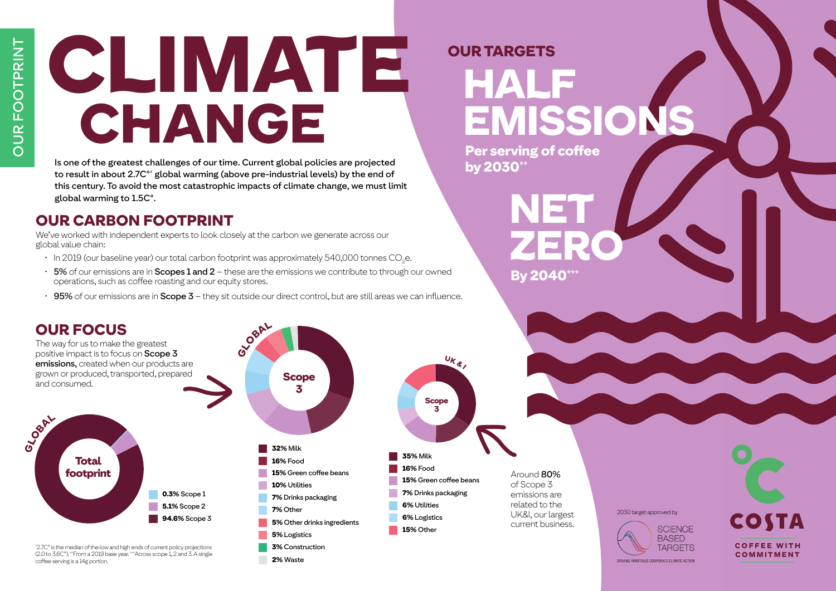# CLIMATE CHANGE

Is one of the greatest challenges of our time. Current global policies are projected to result in about 2.7C°\* global warming (above pre-industrial levels) by the end of this century. To avoid the most catastrophic impacts of climate change, we must limit global warming to 1.5C°.

### OUR CARBON FOOTPRINT

We've worked with independent experts to look closely at the carbon we generate across our global value chain:

- $\cdot \;$  In 2019 (our baseline year) our total carbon footprint was approximately 540,000 tonnes CO<sub>2</sub>e.
- $\cdot$  5% of our emissions are in Scopes 1 and 2 these are the emissions we contribute to through our owned operations, such as coffee roasting and our equity stores.
- 95% of our emissions are in Scope 3 they sit outside our direct control, but are still areas we can influence.



# OUR TARGETS HALF EMISSIONS

NET

**ZERO** 

COFFEE WITH COMMITMENT

COSTA

Per serving of coffee by 2030\*\*

By 2040\*\*\*